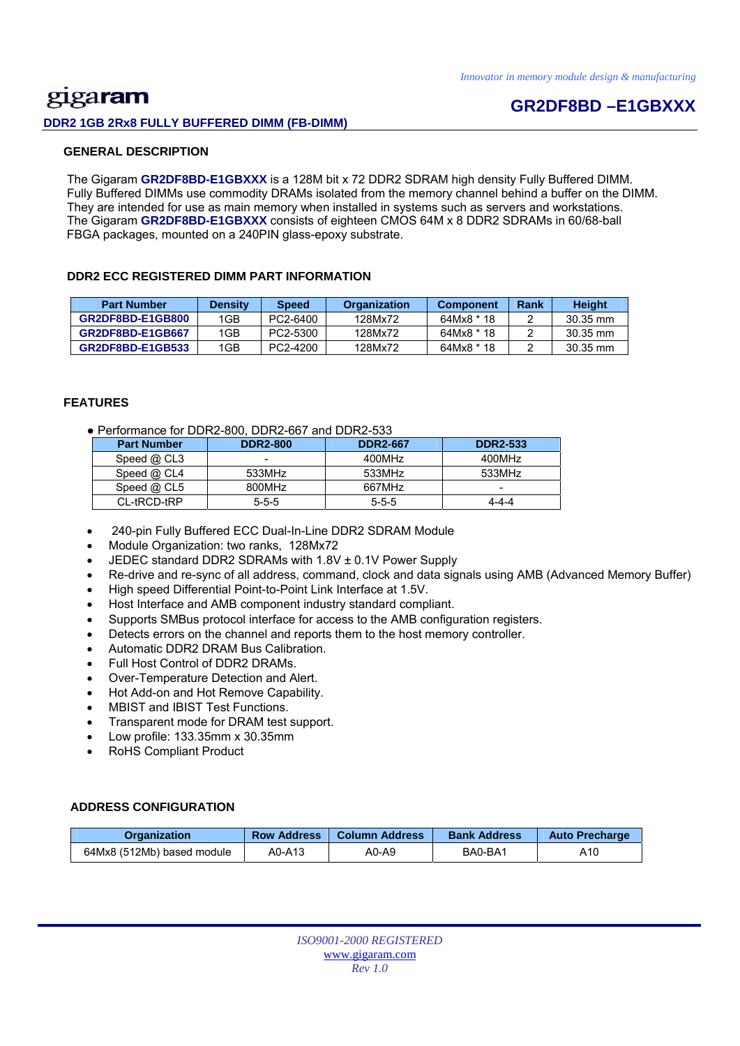## gigaram **DDR2 1GB 2Rx8 FULLY BUFFERED DIMM (FB-DIMM)**

## **GR2DF8BD –E1GBXXX**

#### **GENERAL DESCRIPTION**

 The Gigaram **GR2DF8BD-E1GBXXX** is a 128M bit x 72 DDR2 SDRAM high density Fully Buffered DIMM. Fully Buffered DIMMs use commodity DRAMs isolated from the memory channel behind a buffer on the DIMM. They are intended for use as main memory when installed in systems such as servers and workstations. The Gigaram **GR2DF8BD-E1GBXXX** consists of eighteen CMOS 64M x 8 DDR2 SDRAMs in 60/68-ball FBGA packages, mounted on a 240PIN glass-epoxy substrate.

#### **DDR2 ECC REGISTERED DIMM PART INFORMATION**

| <b>Part Number</b> | <b>Density</b> | <b>Speed</b> | <b>Organization</b> | <b>Component</b> | Rank | <b>Height</b>      |
|--------------------|----------------|--------------|---------------------|------------------|------|--------------------|
| GR2DF8BD-E1GB800   | 1GB            | PC2-6400     | 128Mx72             | 64Mx8 * 18       |      | 30.35 mm           |
| GR2DF8BD-E1GB667   | 1GB            | PC2-5300     | 128Mx72             | 64Mx8 * 18       |      | $30.35 \text{ mm}$ |
| GR2DF8BD-E1GB533   | 1GB            | PC2-4200     | 128Mx72             | 64Mx8 * 18       |      | 30.35 mm           |

#### **FEATURES**

● Performance for DDR2-800, DDR2-667 and DDR2-533

| <b>Part Number</b> | <b>DDR2-800</b> | <b>DDR2-667</b> | <b>DDR2-533</b> |
|--------------------|-----------------|-----------------|-----------------|
| Speed $@$ CL3      | -               | 400MHz          | 400MHz          |
| Speed @ CL4        | 533MHz          | 533MHz          | 533MHz          |
| Speed $@$ CL5      | 800MHz          | 667MHz          | -               |
| CL-tRCD-tRP        | $5 - 5 - 5$     | $5 - 5 - 5$     | 4-4-4           |

- 240-pin Fully Buffered ECC Dual-In-Line DDR2 SDRAM Module
- Module Organization: two ranks, 128Mx72
- JEDEC standard DDR2 SDRAMs with 1.8V ± 0.1V Power Supply
- Re-drive and re-sync of all address, command, clock and data signals using AMB (Advanced Memory Buffer)
- High speed Differential Point-to-Point Link Interface at 1.5V.
- Host Interface and AMB component industry standard compliant.
- Supports SMBus protocol interface for access to the AMB configuration registers.
- Detects errors on the channel and reports them to the host memory controller.
- Automatic DDR2 DRAM Bus Calibration.
- Full Host Control of DDR2 DRAMs.
- Over-Temperature Detection and Alert.
- Hot Add-on and Hot Remove Capability.
- MBIST and IBIST Test Functions.
- Transparent mode for DRAM test support.
- Low profile: 133.35mm x 30.35mm
- RoHS Compliant Product

#### **ADDRESS CONFIGURATION**

| Organization               | <b>Row Address</b> | Column Address | <b>Bank Address</b> | <b>Auto Precharge</b> |
|----------------------------|--------------------|----------------|---------------------|-----------------------|
| 64Mx8 (512Mb) based module | A0-A13             | A0-A9          | BA0-BA1             | A10                   |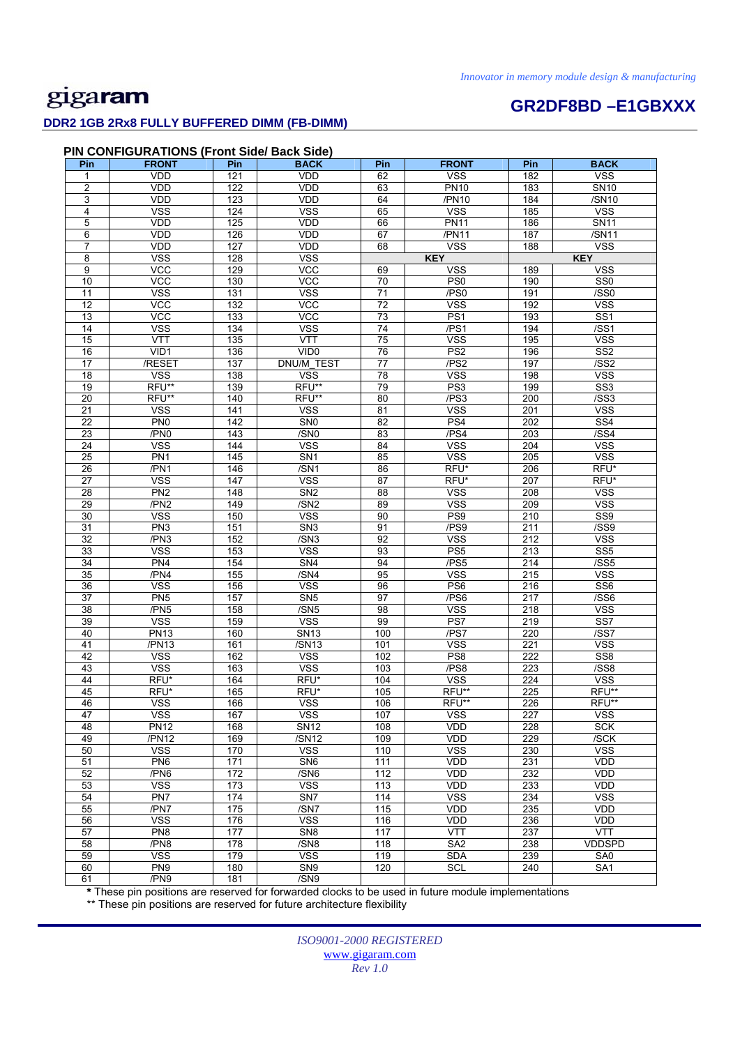### **DDR2 1GB 2Rx8 FULLY BUFFERED DIMM (FB-DIMM)**

# **GR2DF8BD –E1GBXXX**

#### **PIN CONFIGURATIONS (Front Side/ Back Side)**

| Pin             | <b>FRONT</b>                  | Pin             | <b>BACK</b>                     | Pin               | <b>FRONT</b>                  | Pin              | <b>BACK</b>               |
|-----------------|-------------------------------|-----------------|---------------------------------|-------------------|-------------------------------|------------------|---------------------------|
| 1               | <b>VDD</b>                    | 121             | <b>VDD</b>                      | 62                | <b>VSS</b>                    | 182              | <b>VSS</b>                |
| $\overline{2}$  | VDD                           | 122             | <b>VDD</b>                      | 63                | <b>PN10</b>                   | 183              | <b>SN10</b>               |
| 3               | <b>VDD</b>                    | 123             | <b>VDD</b>                      | 64                | /PN10                         | 184              | /SN10                     |
| 4               | <b>VSS</b>                    | 124             | <b>VSS</b>                      | 65                | <b>VSS</b>                    | 185              | <b>VSS</b>                |
| 5               | VDD                           | 125             | VDD                             | 66                | <b>PN11</b>                   | 186              | <b>SN11</b>               |
| 6               | VDD                           | 126             | <b>VDD</b>                      | 67                | /PN11                         | 187              | /SN11                     |
| 7               | VDD                           | 127             | VDD                             | 68                | <b>VSS</b>                    | 188              | <b>VSS</b>                |
| 8               | <b>VSS</b>                    | 128             | <b>VSS</b>                      |                   | <b>KEY</b>                    |                  | <b>KEY</b>                |
| 9               | $\overline{C}$                | 129             | <b>VCC</b>                      | 69                | <b>VSS</b>                    | 189              | <b>VSS</b>                |
| 10              | VCC                           | 130             | VCC                             | 70                | PS <sub>0</sub>               | 190              | SS <sub>0</sub>           |
| 11              | VSS                           | 131             | <b>VSS</b>                      | $\overline{71}$   | /PS0                          | 191              | /SSO                      |
| $\overline{12}$ | VCC                           | 132             | VCC                             | $\overline{72}$   | <b>VSS</b>                    | 192              | <b>VSS</b>                |
| 13              | <b>VCC</b>                    | 133             | <b>VCC</b>                      | 73                | PS <sub>1</sub>               | 193              | SS <sub>1</sub>           |
| 14              | <b>VSS</b>                    | 134             | <b>VSS</b>                      | 74                | /PS1                          | 194              | /SS1                      |
| 15              | VTT                           | 135             | VTT                             | 75                | <b>VSS</b>                    | 195              | <b>VSS</b>                |
| 16              | VID1                          | 136             | VID0                            | 76                | PS <sub>2</sub>               | 196              | SS <sub>2</sub>           |
| 17              | /RESET                        | $\frac{1}{137}$ | DNU/M_TEST                      | $\overline{77}$   | /PS2                          | 197              | /SS2                      |
| 18              | <b>VSS</b>                    | 138             | <b>VSS</b>                      | 78                | <b>VSS</b>                    | 198              | <b>VSS</b>                |
| 19              | RFU**                         | 139             | RFU**                           | 79                | PS <sub>3</sub>               | 199              | SS <sub>3</sub>           |
| 20              | RFU**                         | 140             | RFU**                           | 80                | /PS3                          | 200              | /SS3                      |
| 21<br>22        | <b>VSS</b><br>PN <sub>0</sub> | 141<br>142      | <b>VSS</b><br>SN <sub>0</sub>   | 81<br>82          | <b>VSS</b><br>PS <sub>4</sub> | 201<br>202       | <b>VSS</b><br>SS4         |
| 23              | /PN0                          | 143             | /SN <sub>0</sub>                | 83                | /PS4                          | 203              | /SS4                      |
| 24              | <b>VSS</b>                    | 144             | <b>VSS</b>                      | 84                | <b>VSS</b>                    | 204              | <b>VSS</b>                |
| 25              | PN <sub>1</sub>               | 145             | SN <sub>1</sub>                 | 85                | <b>VSS</b>                    | 205              | <b>VSS</b>                |
| 26              | /PN1                          | 146             | /SN1                            | 86                | RFU*                          | 206              | RFU*                      |
| 27              | <b>VSS</b>                    | 147             | <b>VSS</b>                      | 87                | RFU*                          | 207              | RFU*                      |
| 28              | PN <sub>2</sub>               | 148             | SN <sub>2</sub>                 | 88                | <b>VSS</b>                    | 208              | <b>VSS</b>                |
| 29              | /PN2                          | 149             | /SN2                            | 89                | <b>VSS</b>                    | 209              | <b>VSS</b>                |
| 30              | <b>VSS</b>                    | 150             | <b>VSS</b>                      | 90                | PS <sub>9</sub>               | 210              | $\overline{\text{SS9}}$   |
| 31              | PN <sub>3</sub>               | 151             | SN <sub>3</sub>                 | 91                | /PS9                          | 211              | /SS9                      |
| 32              | /PN3                          | 152             | /SN3                            | 92                | <b>VSS</b>                    | 212              | <b>VSS</b>                |
| 33              | <b>VSS</b>                    | 153             | <b>VSS</b>                      | 93                | PS <sub>5</sub>               | 213              | SS <sub>5</sub>           |
| 34              | PN4                           | 154             | SN <sub>4</sub>                 | 94                | /PS5                          | 214              | /SS5                      |
| 35              | /PN4                          | 155             | /SN4                            | 95                | <b>VSS</b>                    | 215              | <b>VSS</b>                |
| $\overline{36}$ | <b>VSS</b>                    | 156             | <b>VSS</b>                      | 96                | PS <sub>6</sub>               | $\overline{216}$ | SS <sub>6</sub>           |
| 37              | PN <sub>5</sub>               | 157             | SN <sub>5</sub>                 | 97                | /PS6                          | 217              | $\overline{\text{7SS}}$ 6 |
| 38              | /PN5                          | 158             | /SN5                            | 98                | <b>VSS</b>                    | 218              | <b>VSS</b>                |
| 39<br>40        | <b>VSS</b><br><b>PN13</b>     | 159<br>160      | <b>VSS</b><br><b>SN13</b>       | 99<br>100         | PS7<br>/PS7                   | 219<br>220       | SS7<br>/SS7               |
| 41              | /PN13                         | 161             | /SN13                           | 101               | <b>VSS</b>                    | 221              | <b>VSS</b>                |
| 42              | VSS                           | 162             | <b>VSS</b>                      | 102               | PS8                           | 222              | SS <sub>8</sub>           |
| 43              | <b>VSS</b>                    | 163             | <b>VSS</b>                      | 103               | /PS8                          | 223              | /SS8                      |
| 44              | RFU*                          | 164             | RFU*                            | 104               | <b>VSS</b>                    | 224              | <b>VSS</b>                |
| 45              | RFU*                          | 165             | RFU*                            | 105               | RFU**                         | 225              | RFU**                     |
| 46              | <b>VSS</b>                    | 166             | <b>VSS</b>                      | 106               | RFU**                         | 226              | RFU**                     |
| 47              | VSS                           | 167             | VSS                             | 107               | <b>VSS</b>                    | 227              | <b>VSS</b>                |
| 48              | <b>PN12</b>                   | 168             | <b>SN12</b>                     | 108               | VDD                           | 228              | <b>SCK</b>                |
| 49              | /PN12                         | 169             | $\overline{7}$ SN <sub>12</sub> | 109               | VDD                           | 229              | /SCK                      |
| 50              | <b>VSS</b>                    | 170             | <b>VSS</b>                      | 110               | <b>VSS</b>                    | 230              | <b>VSS</b>                |
| 51              | PN <sub>6</sub>               | 171             | SN <sub>6</sub>                 | 111               | <b>VDD</b>                    | 231              | VDD                       |
| 52              | /PN6                          | 172             | /SN6                            | 112               | VDD                           | 232              | VDD                       |
| 53              | <b>VSS</b>                    | 173             | <b>VSS</b>                      | 113               | VDD                           | 233              | VDD                       |
| 54              | PN7                           | $\frac{1}{174}$ | SN <sub>7</sub>                 | $\frac{114}{114}$ | <b>VSS</b>                    | 234              | <b>VSS</b>                |
| 55              | /PN7                          | 175             | /SN7                            | 115               | VDD                           | 235              | VDD                       |
| 56<br>57        | <b>VSS</b><br>PN <sub>8</sub> | 176<br>177      | <b>VSS</b>                      | 116               | VDD<br><b>VTT</b>             | 236              | VDD<br><b>VTT</b>         |
| 58              | /PN8                          | 178             | SN <sub>8</sub><br>/SN8         | 117<br>118        | SA <sub>2</sub>               | 237<br>238       | VDDSPD                    |
| 59              | <b>VSS</b>                    | 179             | <b>VSS</b>                      | 119               | <b>SDA</b>                    | 239              | SA0                       |
| 60              | PN9                           | 180             | SN <sub>9</sub>                 | 120               | <b>SCL</b>                    | 240              | SA <sub>1</sub>           |
| 61              | /PN9                          | 181             | /SN9                            |                   |                               |                  |                           |

**\*** These pin positions are reserved for forwarded clocks to be used in future module implementations

\*\* These pin positions are reserved for future architecture flexibility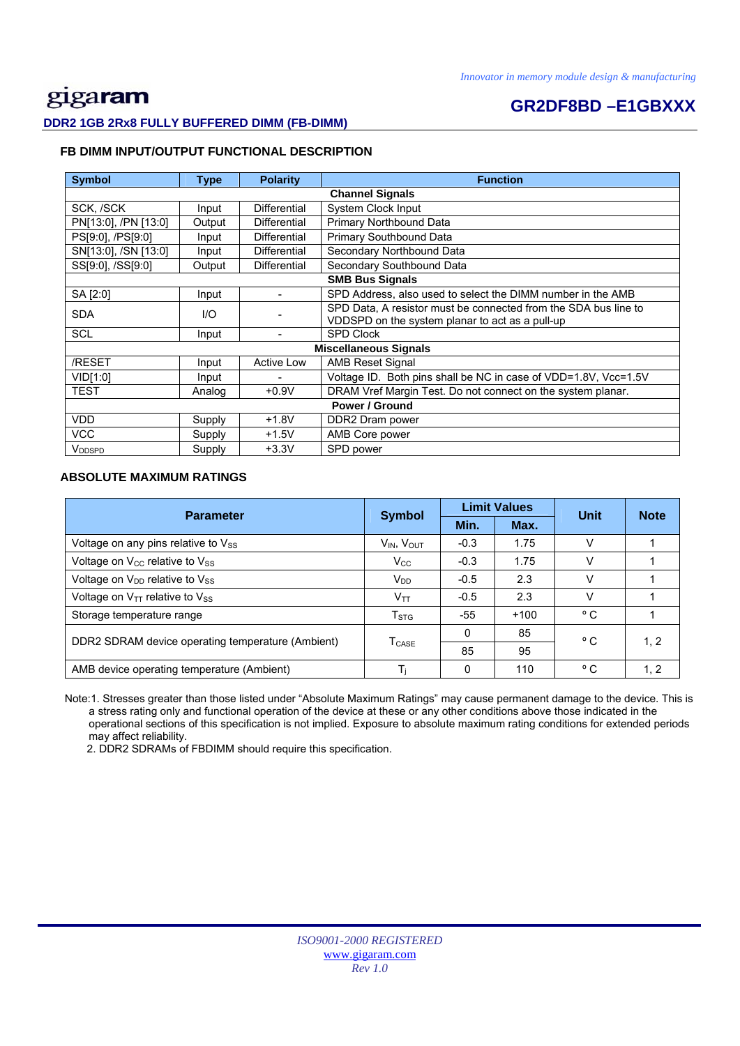# gigaram

### **GR2DF8BD –E1GBXXX**

### **DDR2 1GB 2Rx8 FULLY BUFFERED DIMM (FB-DIMM)**

#### **FB DIMM INPUT/OUTPUT FUNCTIONAL DESCRIPTION**

| <b>Symbol</b>        | <b>Type</b> | <b>Polarity</b>          | <b>Function</b>                                                 |
|----------------------|-------------|--------------------------|-----------------------------------------------------------------|
|                      |             |                          | <b>Channel Signals</b>                                          |
| SCK, /SCK            | Input       | <b>Differential</b>      | System Clock Input                                              |
| PN[13:0], /PN [13:0] | Output      | Differential             | Primary Northbound Data                                         |
| PS[9:0], /PS[9:0]    | Input       | <b>Differential</b>      | Primary Southbound Data                                         |
| SN[13:0], /SN [13:0] | Input       | Differential             | Secondary Northbound Data                                       |
| SS[9:0], /SS[9:0]    | Output      | Differential             | Secondary Southbound Data                                       |
|                      |             |                          | <b>SMB Bus Signals</b>                                          |
| SA [2:0]             | Input       |                          | SPD Address, also used to select the DIMM number in the AMB     |
| <b>SDA</b>           | UQ          |                          | SPD Data, A resistor must be connected from the SDA bus line to |
|                      |             |                          | VDDSPD on the system planar to act as a pull-up                 |
| <b>SCL</b>           | Input       |                          | <b>SPD Clock</b>                                                |
|                      |             |                          | <b>Miscellaneous Signals</b>                                    |
| /RESET               | Input       | <b>Active Low</b>        | <b>AMB Reset Signal</b>                                         |
| VID[1:0]             | Input       | $\overline{\phantom{0}}$ | Voltage ID. Both pins shall be NC in case of VDD=1.8V, Vcc=1.5V |
| <b>TEST</b>          | Analog      | $+0.9V$                  | DRAM Vref Margin Test. Do not connect on the system planar.     |
|                      |             |                          | Power / Ground                                                  |
| <b>VDD</b>           | Supply      | $+1.8V$                  | DDR2 Dram power                                                 |
| VCC                  | Supply      | $+1.5V$                  | AMB Core power                                                  |
| V <sub>DDSPD</sub>   | Supply      | $+3.3V$                  | SPD power                                                       |

#### **ABSOLUTE MAXIMUM RATINGS**

| <b>Parameter</b>                                       | <b>Symbol</b>                      | <b>Limit Values</b> |        | Unit         | <b>Note</b> |
|--------------------------------------------------------|------------------------------------|---------------------|--------|--------------|-------------|
|                                                        |                                    | Min.                | Max.   |              |             |
| Voltage on any pins relative to Vss                    | V <sub>IN</sub> , V <sub>OUT</sub> | $-0.3$              | 1.75   | V            |             |
| Voltage on $V_{\text{CC}}$ relative to $V_{\text{SS}}$ | $V_{\rm CC}$                       | $-0.3$              | 1.75   | v            |             |
| Voltage on V <sub>DD</sub> relative to V <sub>SS</sub> | V <sub>DD</sub>                    | $-0.5$              | 2.3    |              |             |
| Voltage on $V_{TT}$ relative to $V_{SS}$               | $V_{TT}$                           | $-0.5$              | 2.3    |              |             |
| Storage temperature range                              | T <sub>STG</sub>                   | -55                 | $+100$ | $^{\circ}$ C |             |
| DDR2 SDRAM device operating temperature (Ambient)      |                                    | 0                   | 85     | °C           | 1, 2        |
|                                                        | $\mathsf{T}_{\mathsf{CASE}}$       | 85                  | 95     |              |             |
| AMB device operating temperature (Ambient)             |                                    | $\Omega$            | 110    | °C           | 1, 2        |

 Note:1. Stresses greater than those listed under "Absolute Maximum Ratings" may cause permanent damage to the device. This is a stress rating only and functional operation of the device at these or any other conditions above those indicated in the operational sections of this specification is not implied. Exposure to absolute maximum rating conditions for extended periods may affect reliability.

2. DDR2 SDRAMs of FBDIMM should require this specification.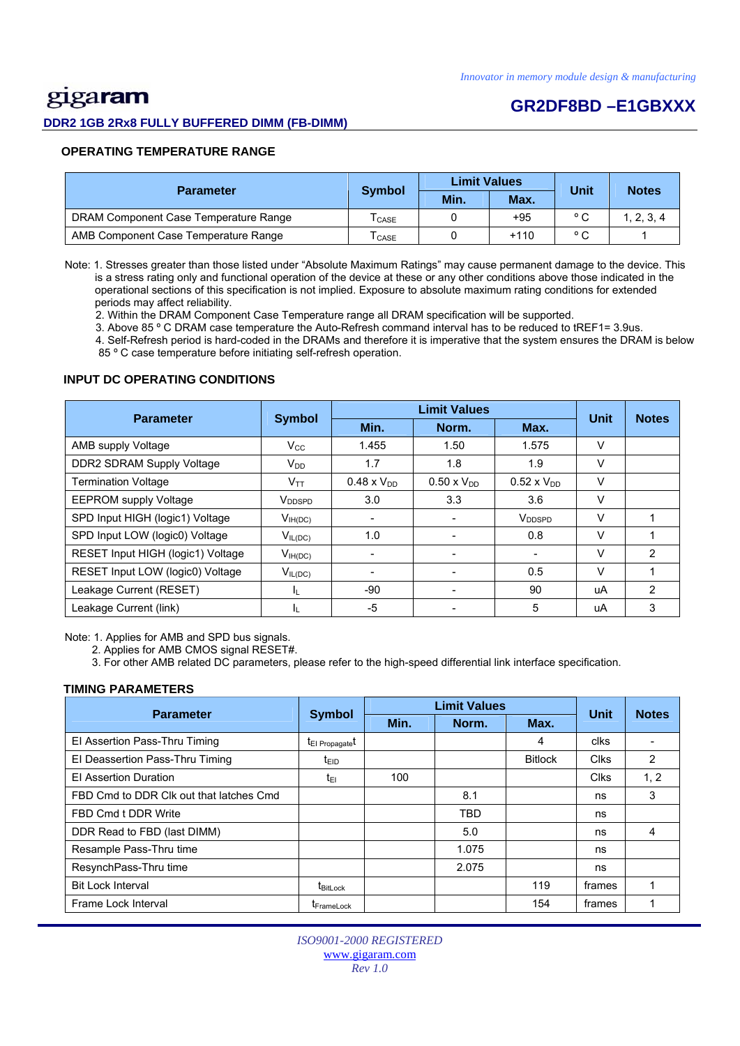# gigaram

#### **DDR2 1GB 2Rx8 FULLY BUFFERED DIMM (FB-DIMM)**

### **GR2DF8BD –E1GBXXX**

#### **OPERATING TEMPERATURE RANGE**

| <b>Parameter</b>                      | <b>Symbol</b>              | <b>Limit Values</b> |        | Unit           | <b>Notes</b> |
|---------------------------------------|----------------------------|---------------------|--------|----------------|--------------|
|                                       |                            | Min.                | Max.   |                |              |
| DRAM Component Case Temperature Range | $\mathsf{T}_\mathsf{CASE}$ |                     | $+95$  | $\circ$ $\sim$ | 2, 3, 4      |
| AMB Component Case Temperature Range  | CASE                       |                     | $+110$ | $\circ$ $\sim$ |              |

 Note: 1. Stresses greater than those listed under "Absolute Maximum Ratings" may cause permanent damage to the device. This is a stress rating only and functional operation of the device at these or any other conditions above those indicated in the operational sections of this specification is not implied. Exposure to absolute maximum rating conditions for extended periods may affect reliability.

2. Within the DRAM Component Case Temperature range all DRAM specification will be supported.

3. Above 85 º C DRAM case temperature the Auto-Refresh command interval has to be reduced to tREF1= 3.9us.

 4. Self-Refresh period is hard-coded in the DRAMs and therefore it is imperative that the system ensures the DRAM is below 85 º C case temperature before initiating self-refresh operation.

#### **INPUT DC OPERATING CONDITIONS**

| <b>Parameter</b>                  | <b>Symbol</b>      |                      | <b>Unit</b>          | <b>Notes</b>         |        |   |
|-----------------------------------|--------------------|----------------------|----------------------|----------------------|--------|---|
|                                   |                    | Min.                 | Norm.                | Max.                 |        |   |
| AMB supply Voltage                | $V_{\rm CC}$       | 1.455                | 1.50                 | 1.575                | V      |   |
| DDR2 SDRAM Supply Voltage         | $V_{DD}$           | 1.7                  | 1.8                  | 1.9                  | $\vee$ |   |
| <b>Termination Voltage</b>        | V <sub>TT</sub>    | $0.48 \times V_{DD}$ | $0.50 \times V_{DD}$ | $0.52 \times V_{DD}$ | V      |   |
| <b>EEPROM</b> supply Voltage      | V <sub>DDSPD</sub> | 3.0                  | 3.3                  | 3.6                  | v      |   |
| SPD Input HIGH (logic1) Voltage   | $V_{IH(DC)}$       | ۰                    |                      | V <sub>DDSPD</sub>   | V      |   |
| SPD Input LOW (logic0) Voltage    | $V_{IL(DC)}$       | 1.0                  |                      | 0.8                  | V      |   |
| RESET Input HIGH (logic1) Voltage | $V_{IH(DC)}$       |                      |                      |                      | V      | 2 |
| RESET Input LOW (logic0) Voltage  | $V_{IL(DC)}$       |                      |                      | 0.5                  | $\vee$ |   |
| Leakage Current (RESET)           | IL.                | $-90$                |                      | 90                   | uA     | 2 |
| Leakage Current (link)            | ΙL                 | $-5$                 |                      | 5                    | uA     | 3 |

Note: 1. Applies for AMB and SPD bus signals.

2. Applies for AMB CMOS signal RESET#.

3. For other AMB related DC parameters, please refer to the high-speed differential link interface specification.

#### **TIMING PARAMETERS**

| <b>Parameter</b>                        | <b>Symbol</b>               | <b>Limit Values</b> | <b>Unit</b> | <b>Notes</b>   |             |      |
|-----------------------------------------|-----------------------------|---------------------|-------------|----------------|-------------|------|
|                                         |                             | Min.                | Norm.       | Max.           |             |      |
| El Assertion Pass-Thru Timing           | t <sub>El Propagate</sub> t |                     |             | 4              | clks        |      |
| El Deassertion Pass-Thru Timing         | t <sub>EID</sub>            |                     |             | <b>Bitlock</b> | <b>Clks</b> | 2    |
| <b>El Assertion Duration</b>            | t <sub>EI</sub>             | 100                 |             |                | <b>Clks</b> | 1, 2 |
| FBD Cmd to DDR Clk out that latches Cmd |                             |                     | 8.1         |                | ns          | 3    |
| FBD Cmd t DDR Write                     |                             |                     | <b>TBD</b>  |                | ns          |      |
| DDR Read to FBD (last DIMM)             |                             |                     | 5.0         |                | ns          | 4    |
| Resample Pass-Thru time                 |                             |                     | 1.075       |                | ns          |      |
| ResynchPass-Thru time                   |                             |                     | 2.075       |                | ns          |      |
| <b>Bit Lock Interval</b>                | t <sub>BitLock</sub>        |                     |             | 119            | frames      |      |
| Frame Lock Interval                     | <b>T</b> FrameLock          |                     |             | 154            | frames      |      |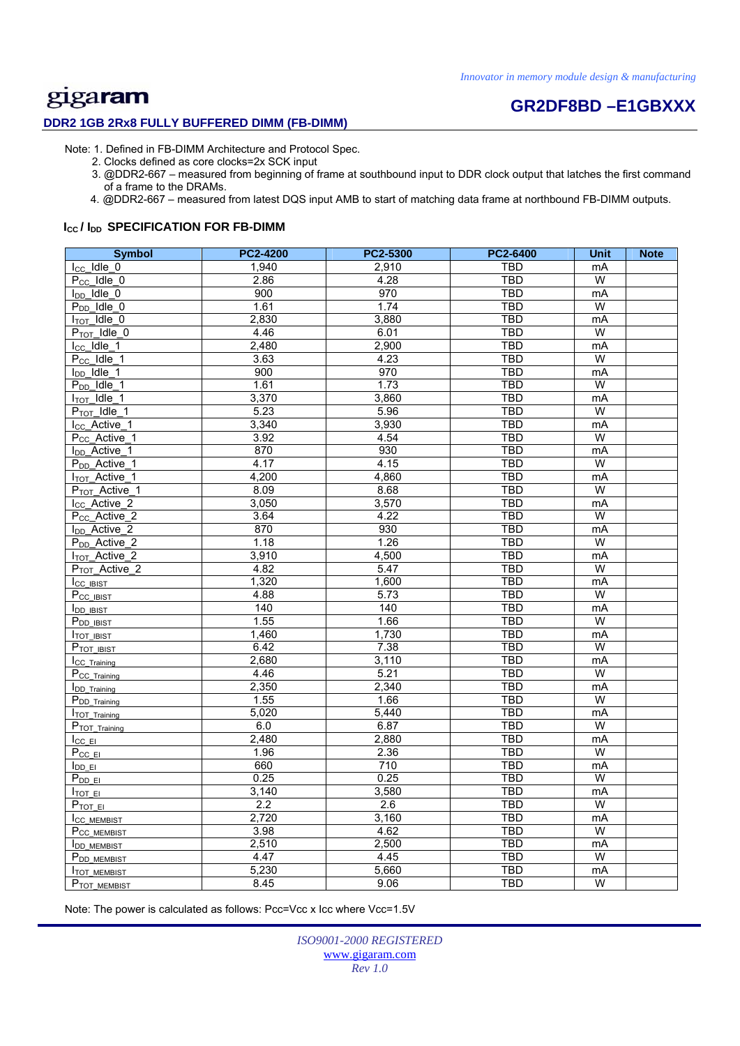# **GR2DF8BD –E1GBXXX**

#### **DDR2 1GB 2Rx8 FULLY BUFFERED DIMM (FB-DIMM)**

Note: 1. Defined in FB-DIMM Architecture and Protocol Spec.

- 2. Clocks defined as core clocks=2x SCK input
- 3. @DDR2-667 measured from beginning of frame at southbound input to DDR clock output that latches the first command of a frame to the DRAMs.
- 4. @DDR2-667 measured from latest DQS input AMB to start of matching data frame at northbound FB-DIMM outputs.

#### **I<sub>cc</sub>/I<sub>DD</sub> SPECIFICATION FOR FB-DIMM**

| <b>Symbol</b>              | <b>PC2-4200</b> | PC2-5300 | <b>PC2-6400</b> | <b>Unit</b>    | <b>Note</b> |
|----------------------------|-----------------|----------|-----------------|----------------|-------------|
| $I_{CC}$ Idle 0            | 1,940           | 2,910    | <b>TBD</b>      | mA             |             |
| $P_{CC}$ Idle $_0$         | 2.86            | 4.28     | <b>TBD</b>      | W              |             |
| $I_{DD}$ Idle 0            | 900             | 970      | <b>TBD</b>      | mA             |             |
| $P_{DD}$ _Idle_0           | 1.61            | 1.74     | <b>TBD</b>      | W              |             |
| $I_{TOT}$ Idle 0           | 2,830           | 3,880    | <b>TBD</b>      | mA             |             |
| $P_{TOT}$ Idle 0           | 4.46            | 6.01     | <b>TBD</b>      | W              |             |
| $I_{CC}$ Idle 1            | 2,480           | 2,900    | <b>TBD</b>      | mA             |             |
| $P_{CC}$ Idle_1            | 3.63            | 4.23     | <b>TBD</b>      | W              |             |
| $I_{DD}$ Idle $_1$         | 900             | 970      | <b>TBD</b>      | mA             |             |
| $P_{DD}$ Idle_1            | 1.61            | 1.73     | <b>TBD</b>      | W              |             |
| $I_{TOT}$ Idle $1$         | 3,370           | 3,860    | <b>TBD</b>      | mA             |             |
| P <sub>TOT</sub> Idle 1    | 5.23            | 5.96     | <b>TBD</b>      | W              |             |
| I <sub>CC</sub> _Active_1  | 3,340           | 3,930    | TBD             | mA             |             |
| $P_{CC}$ Active 1          | 3.92            | 4.54     | <b>TBD</b>      | W              |             |
| I <sub>DD</sub> _Active_1  | 870             | 930      | <b>TBD</b>      | mA             |             |
| $P_{DD}$ _Active_1         | 4.17            | 4.15     | <b>TBD</b>      | W              |             |
| $I_{TOT}\_Active\_1$       | 4,200           | 4,860    | <b>TBD</b>      | mA             |             |
| P <sub>TOT</sub> _Active_1 | 8.09            | 8.68     | <b>TBD</b>      | W              |             |
| I <sub>CC</sub> Active 2   | 3,050           | 3,570    | <b>TBD</b>      | mA             |             |
| P <sub>CC</sub> _Active_2  | 3.64            | 4.22     | TBD             | W              |             |
| I <sub>DD</sub> _Active_2  | 870             | 930      | <b>TBD</b>      | mA             |             |
| P <sub>DD</sub> Active 2   | 1.18            | 1.26     | <b>TBD</b>      | $\overline{W}$ |             |
| $1_{\text{TOT}}$ Active_2  | 3,910           | 4,500    | <b>TBD</b>      | mA             |             |
| P <sub>TOT</sub> _Active_2 | 4.82            | 5.47     | <b>TBD</b>      | $\overline{W}$ |             |
| Icc IBIST                  | 1,320           | 1,600    | <b>TBD</b>      | mA             |             |
| P <sub>CC_IBIST</sub>      | 4.88            | 5.73     | <b>TBD</b>      | W              |             |
| <b>I</b> DD IBIST          | 140             | 140      | <b>TBD</b>      | mA             |             |
| P <sub>DD</sub> IBIST      | 1.55            | 1.66     | <b>TBD</b>      | $\overline{W}$ |             |
| ITOT IBIST                 | 1,460           | 1,730    | <b>TBD</b>      | mA             |             |
| PTOT IBIST                 | 6.42            | 7.38     | <b>TBD</b>      | $\overline{W}$ |             |
| ICC Training               | 2,680           | 3,110    | <b>TBD</b>      | mA             |             |
| P <sub>CC_Training</sub>   | 4.46            | 5.21     | <b>TBD</b>      | $\overline{W}$ |             |
| <b>IDD</b> Training        | 2,350           | 2,340    | <b>TBD</b>      | mA             |             |
| P <sub>DD_Training</sub>   | 1.55            | 1.66     | <b>TBD</b>      | $\overline{W}$ |             |
| TOT Training               | 5,020           | 5,440    | TBD             | mA             |             |
| P <sub>TOT</sub> Training  | 6.0             | 6.87     | <b>TBD</b>      | W              |             |
| $I_{CC}$ EI                | 2,480           | 2,880    | TBD             | mA             |             |
| $P_{CCEI}$                 | 1.96            | 2.36     | <b>TBD</b>      | W              |             |
| $I_{DDEI}$                 | 660             | 710      | <b>TBD</b>      | mA             |             |
| $P_{DD}$ EI                | 0.25            | 0.25     | <b>TBD</b>      | $\overline{W}$ |             |
| $I_{\text{TOT}}$ EI        | 3,140           | 3,580    | <b>TBD</b>      | mA             |             |
| $P_{\text{TOT EI}}$        | 2.2             | 2.6      | <b>TBD</b>      | W              |             |
| I <sub>CC</sub> MEMBIST    | 2,720           | 3,160    | <b>TBD</b>      | mA             |             |
| P <sub>CC MEMBIST</sub>    | 3.98            | 4.62     | <b>TBD</b>      | $\overline{W}$ |             |
| <b>IDD MEMBIST</b>         | 2,510           | 2,500    | TBD             | mA             |             |
| P <sub>DD</sub> MEMBIST    | 4.47            | 4.45     | <b>TBD</b>      | W              |             |
| <b>ITOT MEMBIST</b>        | 5,230           | 5,660    | <b>TBD</b>      | mA             |             |
| PTOT MEMBIST               | 8.45            | 9.06     | <b>TBD</b>      | W              |             |

Note: The power is calculated as follows: Pcc=Vcc x Icc where Vcc=1.5V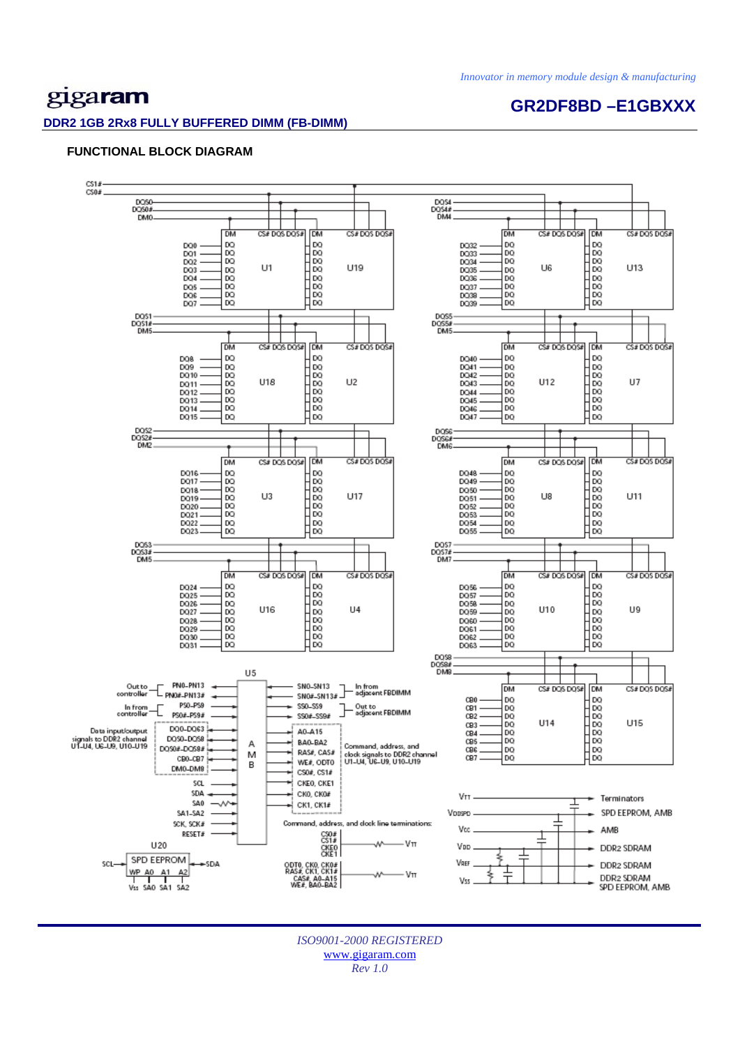## gigaram

#### **DDR2 1GB 2Rx8 FULLY BUFFERED DIMM (FB-DIMM)**

### **GR2DF8BD –E1GBXXX**

#### **FUNCTIONAL BLOCK DIAGRAM**